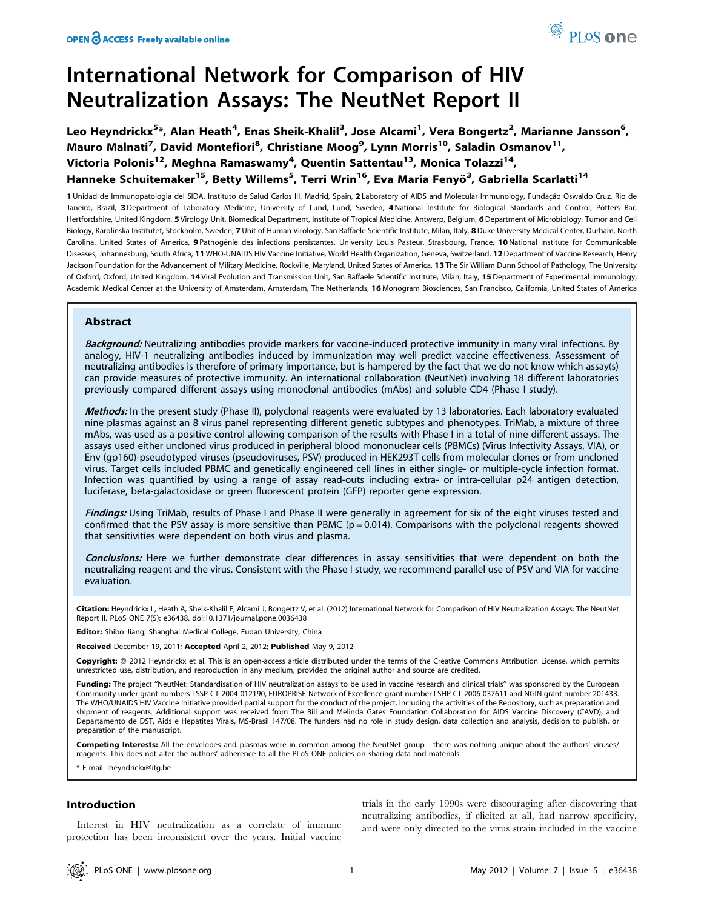# International Network for Comparison of HIV Neutralization Assays: The NeutNet Report II

Leo Heyndrickx<sup>5</sup>\*, Alan Heath<sup>4</sup>, Enas Sheik-Khalil<sup>3</sup>, Jose Alcami<sup>1</sup>, Vera Bongertz<sup>2</sup>, Marianne Jansson<sup>6</sup>, Mauro Malnati<sup>7</sup>, David Montefiori<sup>8</sup>, Christiane Moog<sup>9</sup>, Lynn Morris<sup>10</sup>, Saladin Osmanov<sup>11</sup>, Victoria Polonis<sup>12</sup>, Meghna Ramaswamy<sup>4</sup>, Quentin Sattentau<sup>13</sup>, Monica Tolazzi<sup>14</sup>, Hanneke Schuitemaker<sup>15</sup>, Betty Willems<sup>5</sup>, Terri Wrin<sup>16</sup>, Eva Maria Fenyö<sup>3</sup>, Gabriella Scarlatti<sup>14</sup>

1 Unidad de Immunopatologia del SIDA, Instituto de Salud Carlos III, Madrid, Spain, 2 Laboratory of AIDS and Molecular Immunology, Fundação Oswaldo Cruz, Rio de Janeiro, Brazil, 3 Department of Laboratory Medicine, University of Lund, Lund, Sweden, 4 National Institute for Biological Standards and Control, Potters Bar, Hertfordshire, United Kingdom, 5 Virology Unit, Biomedical Department, Institute of Tropical Medicine, Antwerp, Belgium, 6 Department of Microbiology, Tumor and Cell Biology, Karolinska Institutet, Stockholm, Sweden, 7 Unit of Human Virology, San Raffaele Scientific Institute, Milan, Italy, 8 Duke University Medical Center, Durham, North Carolina, United States of America, 9 Pathogénie des infections persistantes, University Louis Pasteur, Strasbourg, France, 10 National Institute for Communicable Diseases, Johannesburg, South Africa, 11 WHO-UNAIDS HIV Vaccine Initiative, World Health Organization, Geneva, Switzerland, 12 Department of Vaccine Research, Henry Jackson Foundation for the Advancement of Military Medicine, Rockville, Maryland, United States of America, 13 The Sir William Dunn School of Pathology, The University of Oxford, Oxford, United Kingdom, 14 Viral Evolution and Transmission Unit, San Raffaele Scientific Institute, Milan, Italy, 15 Department of Experimental Immunology, Academic Medical Center at the University of Amsterdam, Amsterdam, The Netherlands, 16 Monogram Biosciences, San Francisco, California, United States of America

# Abstract

Background: Neutralizing antibodies provide markers for vaccine-induced protective immunity in many viral infections. By analogy, HIV-1 neutralizing antibodies induced by immunization may well predict vaccine effectiveness. Assessment of neutralizing antibodies is therefore of primary importance, but is hampered by the fact that we do not know which assay(s) can provide measures of protective immunity. An international collaboration (NeutNet) involving 18 different laboratories previously compared different assays using monoclonal antibodies (mAbs) and soluble CD4 (Phase I study).

Methods: In the present study (Phase II), polyclonal reagents were evaluated by 13 laboratories. Each laboratory evaluated nine plasmas against an 8 virus panel representing different genetic subtypes and phenotypes. TriMab, a mixture of three mAbs, was used as a positive control allowing comparison of the results with Phase I in a total of nine different assays. The assays used either uncloned virus produced in peripheral blood mononuclear cells (PBMCs) (Virus Infectivity Assays, VIA), or Env (gp160)-pseudotyped viruses (pseudoviruses, PSV) produced in HEK293T cells from molecular clones or from uncloned virus. Target cells included PBMC and genetically engineered cell lines in either single- or multiple-cycle infection format. Infection was quantified by using a range of assay read-outs including extra- or intra-cellular p24 antigen detection, luciferase, beta-galactosidase or green fluorescent protein (GFP) reporter gene expression.

Findings: Using TriMab, results of Phase I and Phase II were generally in agreement for six of the eight viruses tested and confirmed that the PSV assay is more sensitive than PBMC ( $p = 0.014$ ). Comparisons with the polyclonal reagents showed that sensitivities were dependent on both virus and plasma.

Conclusions: Here we further demonstrate clear differences in assay sensitivities that were dependent on both the neutralizing reagent and the virus. Consistent with the Phase I study, we recommend parallel use of PSV and VIA for vaccine evaluation.

Citation: Heyndrickx L, Heath A, Sheik-Khalil E, Alcami J, Bongertz V, et al. (2012) International Network for Comparison of HIV Neutralization Assays: The NeutNet Report II. PLoS ONE 7(5): e36438. doi:10.1371/journal.pone.0036438

Editor: Shibo Jiang, Shanghai Medical College, Fudan University, China

Received December 19, 2011; Accepted April 2, 2012; Published May 9, 2012

Copyright: © 2012 Heyndrickx et al. This is an open-access article distributed under the terms of the Creative Commons Attribution License, which permits unrestricted use, distribution, and reproduction in any medium, provided the original author and source are credited.

Funding: The project "NeutNet: Standardisation of HIV neutralization assays to be used in vaccine research and clinical trials" was sponsored by the European Community under grant numbers LSSP-CT-2004-012190, EUROPRISE-Network of Excellence grant number LSHP CT-2006-037611 and NGIN grant number 201433. The WHO/UNAIDS HIV Vaccine Initiative provided partial support for the conduct of the project, including the activities of the Repository, such as preparation and shipment of reagents. Additional support was received from The Bill and Melinda Gates Foundation Collaboration for AIDS Vaccine Discovery (CAVD), and Departamento de DST, Aids e Hepatites Virais, MS-Brasil 147/08. The funders had no role in study design, data collection and analysis, decision to publish, or preparation of the manuscript.

Competing Interests: All the envelopes and plasmas were in common among the NeutNet group - there was nothing unique about the authors' viruses/ reagents. This does not alter the authors' adherence to all the PLoS ONE policies on sharing data and materials.

\* E-mail: lheyndrickx@itg.be

# Introduction

Interest in HIV neutralization as a correlate of immune protection has been inconsistent over the years. Initial vaccine

trials in the early 1990s were discouraging after discovering that neutralizing antibodies, if elicited at all, had narrow specificity, and were only directed to the virus strain included in the vaccine

<sup>O</sup> PLoS one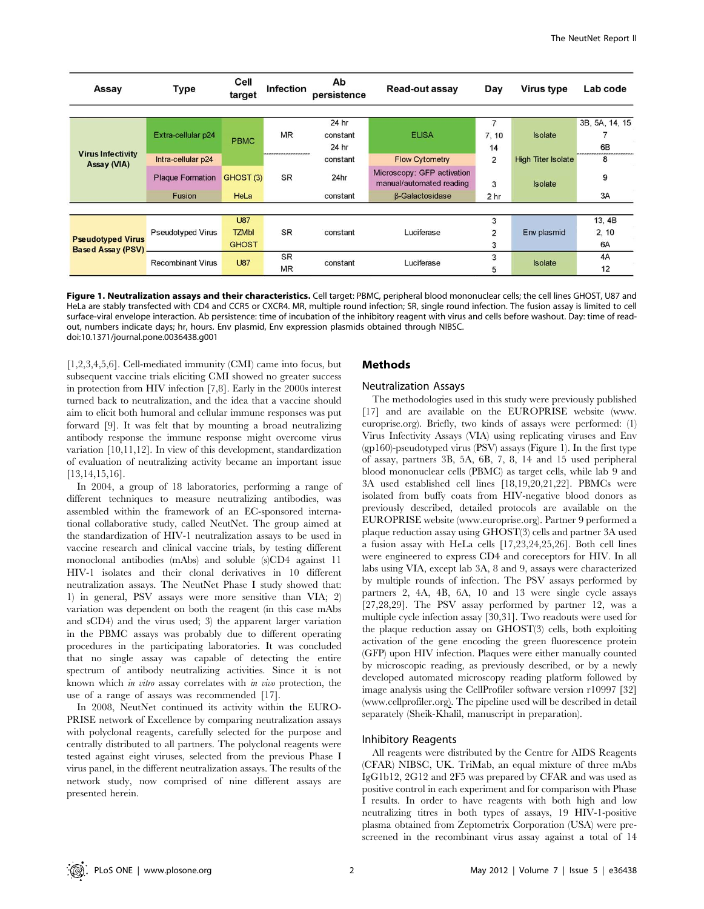| Assay                                                 | Type                     |                      | Ab<br>Infection<br>persistence |          | Read-out assay                                         | Day             | Virus type                | Lab code       |
|-------------------------------------------------------|--------------------------|----------------------|--------------------------------|----------|--------------------------------------------------------|-----------------|---------------------------|----------------|
|                                                       |                          |                      |                                |          |                                                        |                 |                           |                |
|                                                       |                          |                      |                                | 24 hr    |                                                        |                 |                           | 3B, 5A, 14, 15 |
|                                                       | Extra-cellular p24       | <b>PBMC</b>          | <b>MR</b>                      | constant | <b>ELISA</b>                                           | 7, 10           | <b>Isolate</b>            |                |
|                                                       |                          |                      | -----------------              | 24 hr    |                                                        | 14              |                           | 6B             |
| <b>Virus Infectivity</b><br>Assay (VIA)               | Intra-cellular p24       |                      |                                | constant | <b>Flow Cytometry</b>                                  | $\overline{2}$  | <b>High Titer Isolate</b> | 8              |
|                                                       | <b>Plaque Formation</b>  | GHOST <sub>(3)</sub> |                                | 24hr     | Microscopy: GFP activation<br>manual/automated reading | 3               | <b>Isolate</b>            | 9              |
|                                                       | <b>Fusion</b>            | HeLa                 |                                | constant | <b>B-Galactosidase</b>                                 | 2 <sub>hr</sub> |                           | 3A             |
|                                                       |                          |                      |                                |          |                                                        |                 |                           |                |
|                                                       |                          | <b>U87</b>           |                                |          |                                                        | 3               |                           | 13, 4B         |
|                                                       | <b>Pseudotyped Virus</b> | <b>TZMbl</b>         | <b>SR</b>                      | constant | Luciferase                                             | $\overline{2}$  | Env plasmid               | 2, 10          |
| <b>Pseudotyped Virus</b><br><b>Based Assay (PSV).</b> |                          | <b>GHOST</b>         |                                |          |                                                        | 3               |                           | 6A             |
|                                                       | <b>Recombinant Virus</b> | <b>U87</b>           | <b>SR</b>                      | constant | Luciferase                                             | 3               | <b>Isolate</b>            | 4A             |
|                                                       |                          |                      | <b>MR</b>                      |          |                                                        | 5               |                           | 12             |

Figure 1. Neutralization assays and their characteristics. Cell target: PBMC, peripheral blood mononuclear cells; the cell lines GHOST, U87 and HeLa are stably transfected with CD4 and CCR5 or CXCR4. MR, multiple round infection; SR, single round infection. The fusion assay is limited to cell surface-viral envelope interaction. Ab persistence: time of incubation of the inhibitory reagent with virus and cells before washout. Day: time of readout, numbers indicate days; hr, hours. Env plasmid, Env expression plasmids obtained through NIBSC. doi:10.1371/journal.pone.0036438.g001

[1,2,3,4,5,6]. Cell-mediated immunity (CMI) came into focus, but subsequent vaccine trials eliciting CMI showed no greater success in protection from HIV infection [7,8]. Early in the 2000s interest turned back to neutralization, and the idea that a vaccine should aim to elicit both humoral and cellular immune responses was put forward [9]. It was felt that by mounting a broad neutralizing antibody response the immune response might overcome virus variation [10,11,12]. In view of this development, standardization of evaluation of neutralizing activity became an important issue [13,14,15,16].

In 2004, a group of 18 laboratories, performing a range of different techniques to measure neutralizing antibodies, was assembled within the framework of an EC-sponsored international collaborative study, called NeutNet. The group aimed at the standardization of HIV-1 neutralization assays to be used in vaccine research and clinical vaccine trials, by testing different monoclonal antibodies (mAbs) and soluble (s)CD4 against 11 HIV-1 isolates and their clonal derivatives in 10 different neutralization assays. The NeutNet Phase I study showed that: 1) in general, PSV assays were more sensitive than VIA; 2) variation was dependent on both the reagent (in this case mAbs and sCD4) and the virus used; 3) the apparent larger variation in the PBMC assays was probably due to different operating procedures in the participating laboratories. It was concluded that no single assay was capable of detecting the entire spectrum of antibody neutralizing activities. Since it is not known which in vitro assay correlates with in vivo protection, the use of a range of assays was recommended [17].

In 2008, NeutNet continued its activity within the EURO-PRISE network of Excellence by comparing neutralization assays with polyclonal reagents, carefully selected for the purpose and centrally distributed to all partners. The polyclonal reagents were tested against eight viruses, selected from the previous Phase I virus panel, in the different neutralization assays. The results of the network study, now comprised of nine different assays are presented herein.

# Methods

### Neutralization Assays

The methodologies used in this study were previously published [17] and are available on the EUROPRISE website (www. europrise.org). Briefly, two kinds of assays were performed: (1) Virus Infectivity Assays (VIA) using replicating viruses and Env  $(gp160)$ -pseudotyped virus (PSV) assays (Figure 1). In the first type of assay, partners 3B, 5A, 6B, 7, 8, 14 and 15 used peripheral blood mononuclear cells (PBMC) as target cells, while lab 9 and 3A used established cell lines [18,19,20,21,22]. PBMCs were isolated from buffy coats from HIV-negative blood donors as previously described, detailed protocols are available on the EUROPRISE website (www.europrise.org). Partner 9 performed a plaque reduction assay using GHOST(3) cells and partner 3A used a fusion assay with HeLa cells [17,23,24,25,26]. Both cell lines were engineered to express CD4 and coreceptors for HIV. In all labs using VIA, except lab 3A, 8 and 9, assays were characterized by multiple rounds of infection. The PSV assays performed by partners 2, 4A, 4B, 6A, 10 and 13 were single cycle assays [27,28,29]. The PSV assay performed by partner 12, was a multiple cycle infection assay [30,31]. Two readouts were used for the plaque reduction assay on GHOST(3) cells, both exploiting activation of the gene encoding the green fluorescence protein (GFP) upon HIV infection. Plaques were either manually counted by microscopic reading, as previously described, or by a newly developed automated microscopy reading platform followed by image analysis using the CellProfiler software version r10997 [32] (www.cellprofiler.org). The pipeline used will be described in detail separately (Sheik-Khalil, manuscript in preparation).

## Inhibitory Reagents

All reagents were distributed by the Centre for AIDS Reagents (CFAR) NIBSC, UK. TriMab, an equal mixture of three mAbs IgG1b12, 2G12 and 2F5 was prepared by CFAR and was used as positive control in each experiment and for comparison with Phase I results. In order to have reagents with both high and low neutralizing titres in both types of assays, 19 HIV-1-positive plasma obtained from Zeptometrix Corporation (USA) were prescreened in the recombinant virus assay against a total of 14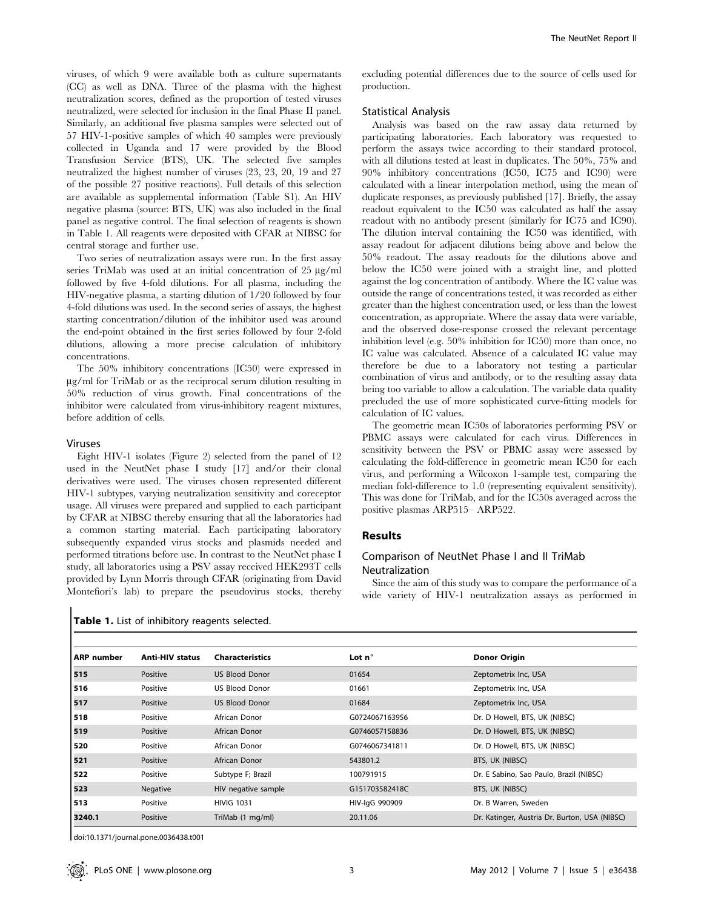viruses, of which 9 were available both as culture supernatants (CC) as well as DNA. Three of the plasma with the highest neutralization scores, defined as the proportion of tested viruses neutralized, were selected for inclusion in the final Phase II panel. Similarly, an additional five plasma samples were selected out of 57 HIV-1-positive samples of which 40 samples were previously collected in Uganda and 17 were provided by the Blood Transfusion Service (BTS), UK. The selected five samples neutralized the highest number of viruses (23, 23, 20, 19 and 27 of the possible 27 positive reactions). Full details of this selection are available as supplemental information (Table S1). An HIV negative plasma (source: BTS, UK) was also included in the final panel as negative control. The final selection of reagents is shown in Table 1. All reagents were deposited with CFAR at NIBSC for central storage and further use.

Two series of neutralization assays were run. In the first assay series TriMab was used at an initial concentration of  $25 \mu g/ml$ followed by five 4-fold dilutions. For all plasma, including the HIV-negative plasma, a starting dilution of 1/20 followed by four 4-fold dilutions was used. In the second series of assays, the highest starting concentration/dilution of the inhibitor used was around the end-point obtained in the first series followed by four 2-fold dilutions, allowing a more precise calculation of inhibitory concentrations.

The 50% inhibitory concentrations (IC50) were expressed in  $\mu$ g/ml for TriMab or as the reciprocal serum dilution resulting in 50% reduction of virus growth. Final concentrations of the inhibitor were calculated from virus-inhibitory reagent mixtures, before addition of cells.

## Viruses

Eight HIV-1 isolates (Figure 2) selected from the panel of 12 used in the NeutNet phase I study [17] and/or their clonal derivatives were used. The viruses chosen represented different HIV-1 subtypes, varying neutralization sensitivity and coreceptor usage. All viruses were prepared and supplied to each participant by CFAR at NIBSC thereby ensuring that all the laboratories had a common starting material. Each participating laboratory subsequently expanded virus stocks and plasmids needed and performed titrations before use. In contrast to the NeutNet phase I study, all laboratories using a PSV assay received HEK293T cells provided by Lynn Morris through CFAR (originating from David Montefiori's lab) to prepare the pseudovirus stocks, thereby

excluding potential differences due to the source of cells used for production.

## Statistical Analysis

Analysis was based on the raw assay data returned by participating laboratories. Each laboratory was requested to perform the assays twice according to their standard protocol, with all dilutions tested at least in duplicates. The 50%, 75% and 90% inhibitory concentrations (IC50, IC75 and IC90) were calculated with a linear interpolation method, using the mean of duplicate responses, as previously published [17]. Briefly, the assay readout equivalent to the IC50 was calculated as half the assay readout with no antibody present (similarly for IC75 and IC90). The dilution interval containing the IC50 was identified, with assay readout for adjacent dilutions being above and below the 50% readout. The assay readouts for the dilutions above and below the IC50 were joined with a straight line, and plotted against the log concentration of antibody. Where the IC value was outside the range of concentrations tested, it was recorded as either greater than the highest concentration used, or less than the lowest concentration, as appropriate. Where the assay data were variable, and the observed dose-response crossed the relevant percentage inhibition level (e.g. 50% inhibition for IC50) more than once, no IC value was calculated. Absence of a calculated IC value may therefore be due to a laboratory not testing a particular combination of virus and antibody, or to the resulting assay data being too variable to allow a calculation. The variable data quality precluded the use of more sophisticated curve-fitting models for calculation of IC values.

The geometric mean IC50s of laboratories performing PSV or PBMC assays were calculated for each virus. Differences in sensitivity between the PSV or PBMC assay were assessed by calculating the fold-difference in geometric mean IC50 for each virus, and performing a Wilcoxon 1-sample test, comparing the median fold-difference to 1.0 (representing equivalent sensitivity). This was done for TriMab, and for the IC50s averaged across the positive plasmas ARP515– ARP522.

#### Results

## Comparison of NeutNet Phase I and II TriMab Neutralization

Since the aim of this study was to compare the performance of a wide variety of HIV-1 neutralization assays as performed in

|  |  |  |  | Table 1. List of inhibitory reagents selected. |  |  |
|--|--|--|--|------------------------------------------------|--|--|
|--|--|--|--|------------------------------------------------|--|--|

| <b>ARP</b> number | <b>Anti-HIV status</b> | <b>Characteristics</b> | Lot $n^{\circ}$ | <b>Donor Origin</b>                           |
|-------------------|------------------------|------------------------|-----------------|-----------------------------------------------|
| 515               | Positive               | <b>US Blood Donor</b>  | 01654           | Zeptometrix Inc, USA                          |
| 516               | Positive               | US Blood Donor         | 01661           | Zeptometrix Inc, USA                          |
| 517               | Positive               | <b>US Blood Donor</b>  | 01684           | Zeptometrix Inc, USA                          |
| 518               | Positive               | African Donor          | G0724067163956  | Dr. D Howell, BTS, UK (NIBSC)                 |
| 519               | Positive               | African Donor          | G0746057158836  | Dr. D Howell, BTS, UK (NIBSC)                 |
| 520               | Positive               | African Donor          | G0746067341811  | Dr. D Howell, BTS, UK (NIBSC)                 |
| 521               | Positive               | African Donor          | 543801.2        | BTS, UK (NIBSC)                               |
| 522               | Positive               | Subtype F; Brazil      | 100791915       | Dr. E Sabino, Sao Paulo, Brazil (NIBSC)       |
| 523               | <b>Negative</b>        | HIV negative sample    | G151703582418C  | BTS, UK (NIBSC)                               |
| 513               | Positive               | <b>HIVIG 1031</b>      | HIV-IgG 990909  | Dr. B Warren, Sweden                          |
| 3240.1            | Positive               | TriMab (1 mg/ml)       | 20.11.06        | Dr. Katinger, Austria Dr. Burton, USA (NIBSC) |

doi:10.1371/journal.pone.0036438.t001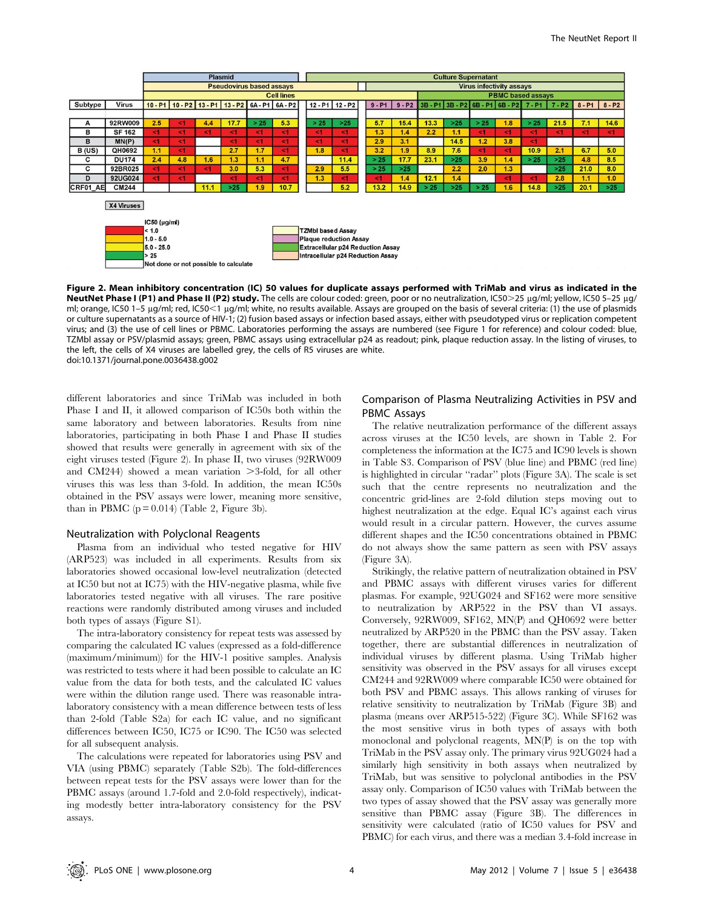|                          | <b>Plasmid</b>    |                                 |                              |          |          |                                       |                                     |  |                                             | <b>Culture Supernatant</b>      |                          |                               |                                                                                      |      |      |          |      |       |                                   |          |
|--------------------------|-------------------|---------------------------------|------------------------------|----------|----------|---------------------------------------|-------------------------------------|--|---------------------------------------------|---------------------------------|--------------------------|-------------------------------|--------------------------------------------------------------------------------------|------|------|----------|------|-------|-----------------------------------|----------|
|                          |                   | <b>Pseudovirus based assays</b> |                              |          |          |                                       |                                     |  |                                             | <b>Virus infectivity assays</b> |                          |                               |                                                                                      |      |      |          |      |       |                                   |          |
|                          | <b>Cell lines</b> |                                 |                              |          |          |                                       |                                     |  | <b>PBMC based assays</b>                    |                                 |                          |                               |                                                                                      |      |      |          |      |       |                                   |          |
| <b>Virus</b>             |                   |                                 |                              |          |          |                                       |                                     |  |                                             |                                 | $9 - P1$                 | $9 - P2$                      |                                                                                      |      |      |          |      |       | $8 - P1$                          | $8 - P2$ |
|                          |                   |                                 |                              |          |          |                                       |                                     |  |                                             |                                 |                          |                               |                                                                                      |      |      |          |      |       |                                   |          |
| 92RW009                  | 2.5               | <1                              | 4.4                          | 17.7     | >25      | 5.3                                   |                                     |  | $>25$                                       |                                 | 5.7                      | 15.4                          | 13.3                                                                                 | >25  | > 25 | 1.8      | > 25 | 21.5  | 7.1                               | 14.6     |
| <b>SF 162</b>            | $\leq 1$          | < 1                             | <1                           | < 1      | $\leq 1$ | $\leq 1$                              |                                     |  | <1                                          |                                 | 1.3                      | 1.4                           | 2.2                                                                                  | 1.1  | <1   | $\leq$   | <1   | < 1   | <1                                | < 1      |
| MN(P)                    | <1                | <1                              |                              | <1       | $\leq 1$ | $\leq 1$                              |                                     |  | $\leq 1$                                    |                                 | 2.9                      | 3.1                           |                                                                                      | 14.5 | 1.2  | 3.8      | <1   |       |                                   |          |
| QH0692                   | 1.1               | $\leq 1$                        |                              | 2.7      | 1.7      | <1                                    |                                     |  | 51                                          |                                 | 3.2                      | 1.9                           | 8.9                                                                                  | 7.6  | <1   | <1       | 10.9 | 2.1   | 6.7                               | 5.0      |
| <b>DU174</b>             | 2.4               | 4.8                             | 1.6                          | 1.3      | 1.1      | 4.7                                   |                                     |  | 11.4                                        |                                 | >25                      | 17.7                          | 23.1                                                                                 | >25  | 3.9  | 1.4      | >25  | $>25$ | 4.8                               | 8.5      |
| 92BR025                  | < 1               | $\leq$ 1                        | <1                           | 3.0      | 5.3      | $\leq 1$                              |                                     |  | 5.5                                         |                                 | >25                      | $>25$                         |                                                                                      | 2.2  | 2.0  | 1.3      |      | >25   | 21.0                              | 8.0      |
| 92UG024                  | < 1               | $\leq$ 1                        |                              | $\leq 1$ | $\leq 1$ | $\leq 1$                              |                                     |  | $1$                                         |                                 | $\leq 1$                 | 1.4                           | 12.1                                                                                 | 1.4  |      | $\leq 1$ | <1   | 2.8   | 1.1                               | 1.0      |
| <b>CM244</b><br>CRF01 AE |                   |                                 | 11.1                         | $>25$    | 1.9      | 10.7                                  |                                     |  | 5.2                                         |                                 | 13.2                     | 14.9                          | > 25                                                                                 | >25  | > 25 | 1.6      | 14.8 | $>25$ | 20.1                              | $>25$    |
|                          |                   |                                 |                              |          |          |                                       |                                     |  |                                             |                                 |                          |                               |                                                                                      |      |      |          |      |       |                                   |          |
| X4 Viruses               |                   |                                 |                              |          |          |                                       |                                     |  |                                             |                                 |                          |                               |                                                                                      |      |      |          |      |       |                                   |          |
|                          |                   |                                 |                              |          |          |                                       |                                     |  |                                             |                                 |                          |                               |                                                                                      |      |      |          |      |       |                                   |          |
|                          |                   |                                 |                              |          |          |                                       |                                     |  |                                             |                                 |                          |                               |                                                                                      |      |      |          |      |       |                                   |          |
|                          |                   |                                 |                              |          |          |                                       |                                     |  |                                             |                                 |                          |                               |                                                                                      |      |      |          |      |       |                                   |          |
|                          |                   |                                 |                              |          |          |                                       |                                     |  |                                             |                                 |                          |                               |                                                                                      |      |      |          |      |       |                                   |          |
|                          |                   |                                 |                              |          |          |                                       |                                     |  |                                             |                                 |                          |                               |                                                                                      |      |      |          |      |       |                                   |          |
|                          |                   |                                 |                              |          |          |                                       |                                     |  |                                             |                                 |                          |                               |                                                                                      |      |      |          |      |       |                                   |          |
|                          |                   |                                 |                              |          |          |                                       |                                     |  |                                             |                                 |                          |                               |                                                                                      |      |      |          |      |       |                                   |          |
|                          |                   | < 1.0<br>$1.0 - 5.0$<br>> 25    | IC50 (µg/ml)<br>$5.0 - 25.0$ |          |          | Not done or not possible to calculate | 10-P1 10-P2 13-P1 13-P2 6A-P1 6A-P2 |  | > 25<br>$\leq$ 1<br><1<br>1.8<br>2.9<br>1.3 | $12 - P1$ 12 - P2               | <b>TZMbI based Assay</b> | <b>Plaque reduction Assay</b> | <b>Extracellular p24 Reduction Assay</b><br><b>Intracellular p24 Reduction Assay</b> |      |      |          |      |       | 3B-P1 3B-P2 6B-P1 6B-P2 7-P1 7-P2 |          |

Figure 2. Mean inhibitory concentration (IC) 50 values for duplicate assays performed with TriMab and virus as indicated in the NeutNet Phase I (P1) and Phase II (P2) study. The cells are colour coded: green, poor or no neutralization, IC50>25 µg/ml; yellow, IC50 5-25 µg/ ml; orange, IC50 1–5 µg/ml; red, IC50<1 µg/ml; white, no results available. Assays are grouped on the basis of several criteria: (1) the use of plasmids or culture supernatants as a source of HIV-1; (2) fusion based assays or infection based assays, either with pseudotyped virus or replication competent virus; and (3) the use of cell lines or PBMC. Laboratories performing the assays are numbered (see Figure 1 for reference) and colour coded: blue, TZMbl assay or PSV/plasmid assays; green, PBMC assays using extracellular p24 as readout; pink, plaque reduction assay. In the listing of viruses, to the left, the cells of X4 viruses are labelled grey, the cells of R5 viruses are white. doi:10.1371/journal.pone.0036438.g002

different laboratories and since TriMab was included in both Phase I and II, it allowed comparison of IC50s both within the same laboratory and between laboratories. Results from nine laboratories, participating in both Phase I and Phase II studies showed that results were generally in agreement with six of the eight viruses tested (Figure 2). In phase II, two viruses (92RW009 and  $CM244$ ) showed a mean variation  $>3$ -fold, for all other viruses this was less than 3-fold. In addition, the mean IC50s obtained in the PSV assays were lower, meaning more sensitive, than in PBMC  $(p = 0.014)$  (Table 2, Figure 3b).

#### Neutralization with Polyclonal Reagents

Plasma from an individual who tested negative for HIV (ARP523) was included in all experiments. Results from six laboratories showed occasional low-level neutralization (detected at IC50 but not at IC75) with the HIV-negative plasma, while five laboratories tested negative with all viruses. The rare positive reactions were randomly distributed among viruses and included both types of assays (Figure S1).

The intra-laboratory consistency for repeat tests was assessed by comparing the calculated IC values (expressed as a fold-difference (maximum/minimum)) for the HIV-1 positive samples. Analysis was restricted to tests where it had been possible to calculate an IC value from the data for both tests, and the calculated IC values were within the dilution range used. There was reasonable intralaboratory consistency with a mean difference between tests of less than 2-fold (Table S2a) for each IC value, and no significant differences between IC50, IC75 or IC90. The IC50 was selected for all subsequent analysis.

The calculations were repeated for laboratories using PSV and VIA (using PBMC) separately (Table S2b). The fold-differences between repeat tests for the PSV assays were lower than for the PBMC assays (around 1.7-fold and 2.0-fold respectively), indicating modestly better intra-laboratory consistency for the PSV assays.

# Comparison of Plasma Neutralizing Activities in PSV and PBMC Assays

The relative neutralization performance of the different assays across viruses at the IC50 levels, are shown in Table 2. For completeness the information at the IC75 and IC90 levels is shown in Table S3. Comparison of PSV (blue line) and PBMC (red line) is highlighted in circular ''radar'' plots (Figure 3A). The scale is set such that the centre represents no neutralization and the concentric grid-lines are 2-fold dilution steps moving out to highest neutralization at the edge. Equal IC's against each virus would result in a circular pattern. However, the curves assume different shapes and the IC50 concentrations obtained in PBMC do not always show the same pattern as seen with PSV assays (Figure 3A).

Strikingly, the relative pattern of neutralization obtained in PSV and PBMC assays with different viruses varies for different plasmas. For example, 92UG024 and SF162 were more sensitive to neutralization by ARP522 in the PSV than VI assays. Conversely, 92RW009, SF162, MN(P) and QH0692 were better neutralized by ARP520 in the PBMC than the PSV assay. Taken together, there are substantial differences in neutralization of individual viruses by different plasma. Using TriMab higher sensitivity was observed in the PSV assays for all viruses except CM244 and 92RW009 where comparable IC50 were obtained for both PSV and PBMC assays. This allows ranking of viruses for relative sensitivity to neutralization by TriMab (Figure 3B) and plasma (means over ARP515-522) (Figure 3C). While SF162 was the most sensitive virus in both types of assays with both monoclonal and polyclonal reagents, MN(P) is on the top with TriMab in the PSV assay only. The primary virus 92UG024 had a similarly high sensitivity in both assays when neutralized by TriMab, but was sensitive to polyclonal antibodies in the PSV assay only. Comparison of IC50 values with TriMab between the two types of assay showed that the PSV assay was generally more sensitive than PBMC assay (Figure 3B). The differences in sensitivity were calculated (ratio of IC50 values for PSV and PBMC) for each virus, and there was a median 3.4-fold increase in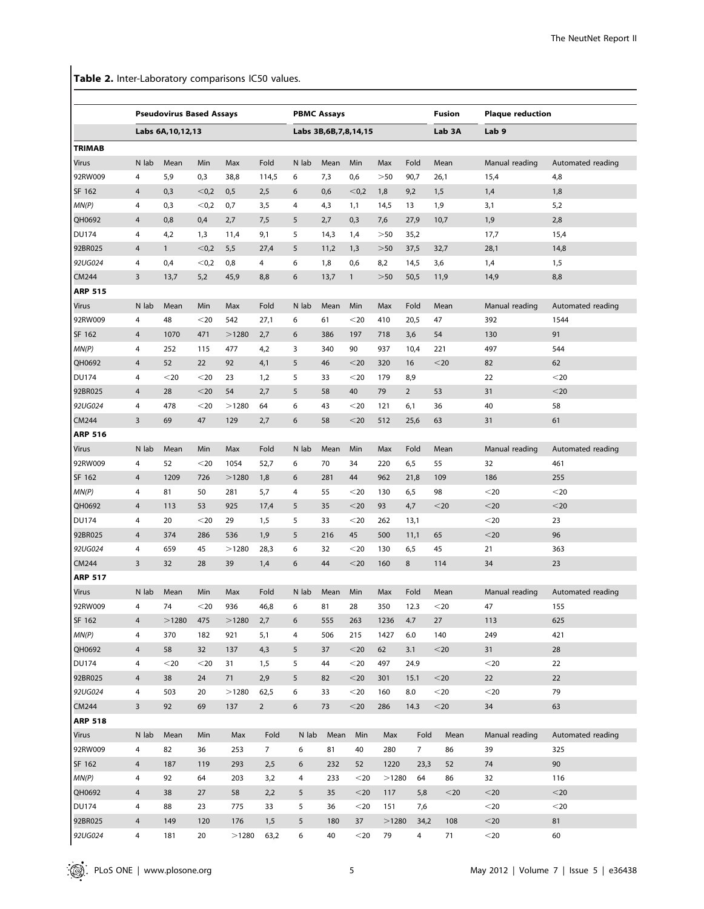Table 2. Inter-Laboratory comparisons IC50 values.

|                |                         | <b>Pseudovirus Based Assays</b> |        |       |                |                | <b>PBMC Assays</b>        |              |           |                | Fusion      | <b>Plaque reduction</b> |                   |  |
|----------------|-------------------------|---------------------------------|--------|-------|----------------|----------------|---------------------------|--------------|-----------|----------------|-------------|-------------------------|-------------------|--|
|                |                         | Labs 6A, 10, 12, 13             |        |       |                |                | Labs 3B, 6B, 7, 8, 14, 15 |              |           |                |             | Lab <sub>9</sub>        |                   |  |
| <b>TRIMAB</b>  |                         |                                 |        |       |                |                |                           |              |           |                |             |                         |                   |  |
| Virus          | N lab                   | Mean                            | Min    | Max   | Fold           | N lab          | Mean                      | Min          | Max       | Fold           | Mean        | Manual reading          | Automated reading |  |
| 92RW009        | 4                       | 5,9                             | 0,3    | 38,8  | 114,5          | 6              | 7,3                       | 0,6          | >50       | 90,7           | 26,1        | 15,4                    | 4,8               |  |
| SF 162         | 4                       | 0,3                             | < 0,2  | 0,5   | 2,5            | 6              | 0,6                       | < 0,2        | 1,8       | 9,2            | 1,5         | 1,4                     | 1,8               |  |
| MN(P)          | 4                       | 0,3                             | < 0,2  | 0,7   | 3,5            | 4              | 4,3                       | 1,1          | 14,5      | 13             | 1,9         | 3,1                     | 5,2               |  |
| QH0692         | 4                       | 0,8                             | 0,4    | 2,7   | 7,5            | 5              | 2,7                       | 0,3          | 7,6       | 27,9           | 10,7        | 1,9                     | 2,8               |  |
| <b>DU174</b>   | 4                       | 4,2                             | 1,3    | 11,4  | 9,1            | 5              | 14,3                      | 1,4          | $>\!\!50$ | 35,2           |             | 17,7                    | 15,4              |  |
| 92BR025        | 4                       | $\mathbf{1}$                    | < 0,2  | 5,5   | 27,4           | 5              | 11,2                      | 1,3          | $>50$     | 37,5           | 32,7        | 28,1                    | 14,8              |  |
| 92UG024        | 4                       | 0,4                             | < 0,2  | 0,8   | 4              | 6              | 1,8                       | 0,6          | 8,2       | 14,5           | 3,6         | 1,4                     | 1,5               |  |
| CM244          | 3                       | 13,7                            | 5,2    | 45,9  | 8,8            | 6              | 13,7                      | $\mathbf{1}$ | $>50$     | 50,5           | 11,9        | 14,9                    | 8,8               |  |
| <b>ARP 515</b> |                         |                                 |        |       |                |                |                           |              |           |                |             |                         |                   |  |
| Virus          | N lab                   | Mean                            | Min    | Max   | Fold           | N lab          | Mean                      | Min          | Max       | Fold           | Mean        | Manual reading          | Automated reading |  |
| 92RW009        | 4                       | 48                              | $20$   | 542   | 27,1           | 6              | 61                        | $20$         | 410       | 20,5           | 47          | 392                     | 1544              |  |
| SF 162         | 4                       | 1070                            | 471    | >1280 | 2,7            | 6              | 386                       | 197          | 718       | 3,6            | 54          | 130                     | 91                |  |
| MN(P)          | 4                       | 252                             | 115    | 477   | 4,2            | 3              | 340                       | 90           | 937       | 10,4           | 221         | 497                     | 544               |  |
| QH0692         | 4                       | 52                              | 22     | 92    | 4,1            | 5              | 46                        | $<$ 20       | 320       | 16             | $<$ 20      | 82                      | 62                |  |
| <b>DU174</b>   | 4                       | $20$                            | $<$ 20 | 23    | 1,2            | 5              | 33                        | $<$ 20       | 179       | 8,9            |             | 22                      | $20$              |  |
| 92BR025        | $\overline{\mathbf{4}}$ | 28                              | $<$ 20 | 54    | 2,7            | 5              | 58                        | 40           | 79        | $\overline{2}$ | 53          | 31                      | $<$ 20            |  |
| 92UG024        | 4                       | 478                             | $<$ 20 | >1280 | 64             | 6              | 43                        | $20$         | 121       | 6,1            | 36          | 40                      | 58                |  |
| CM244          | 3                       | 69                              | 47     | 129   | 2,7            | 6              | 58                        | $<$ 20       | 512       | 25,6           | 63          | 31                      | 61                |  |
| <b>ARP 516</b> |                         |                                 |        |       |                |                |                           |              |           |                |             |                         |                   |  |
| Virus          | N lab                   | Mean                            | Min    | Max   | Fold           | N lab          | Mean                      | Min          | Max       | Fold           | Mean        | Manual reading          | Automated reading |  |
| 92RW009        |                         | 52                              |        | 1054  |                | 6              | 70                        |              |           |                | 55          |                         | 461               |  |
|                | 4                       |                                 | $<$ 20 |       | 52,7           |                |                           | 34           | 220       | 6,5            |             | 32                      |                   |  |
| SF 162         | $\overline{4}$          | 1209                            | 726    | >1280 | 1,8            | 6              | 281                       | 44           | 962       | 21,8           | 109         | 186                     | 255               |  |
| MN(P)          | 4                       | 81                              | 50     | 281   | 5,7            | 4              | 55                        | $<$ 20       | 130       | 6,5            | 98          | $<$ 20                  | $20$              |  |
| QH0692         | 4                       | 113                             | 53     | 925   | 17,4           | 5              | 35                        | $<$ 20       | 93        | 4,7            | $<$ 20      | $<$ 20                  | $<$ 20            |  |
| <b>DU174</b>   | 4                       | 20                              | $<$ 20 | 29    | 1,5            | 5              | 33                        | $<$ 20       | 262       | 13,1           |             | $<$ 20                  | 23                |  |
| 92BR025        | 4                       | 374                             | 286    | 536   | 1,9            | 5              | 216                       | 45           | 500       | 11,1           | 65          | $<$ 20                  | 96                |  |
| 92UG024        | 4                       | 659                             | 45     | >1280 | 28,3           | 6              | 32                        | $20$         | 130       | 6,5            | 45          | 21                      | 363               |  |
| CM244          | 3                       | 32                              | 28     | 39    | 1,4            | 6              | 44                        | $<$ 20       | 160       | 8              | 114         | 34                      | 23                |  |
| <b>ARP 517</b> |                         |                                 |        |       |                |                |                           |              |           |                |             |                         |                   |  |
| Virus          | N lab                   | Mean                            | Min    | Max   | Fold           | N lab          | Mean                      | Min          | Max       | Fold           | Mean        | Manual reading          | Automated reading |  |
| 92RW009        | 4                       | 74                              | $<$ 20 | 936   | 46,8           | 6              | 81                        | 28           | 350       | 12.3           | $<$ 20      | 47                      | 155               |  |
| SF 162         | $\overline{\mathbf{4}}$ | >1280                           | 475    | >1280 | 2,7            | 6              | 555                       | 263          | 1236      | 4.7            | 27          | 113                     | 625               |  |
| MN(P)          | 4                       | 370                             | 182    | 921   | 5,1            | 4              | 506                       | 215          | 1427      | 6.0            | 140         | 249                     | 421               |  |
| QH0692         | $\overline{4}$          | 58                              | 32     | 137   | 4,3            | 5              | 37                        | $<$ 20       | 62        | 3.1            | $<$ 20      | 31                      | 28                |  |
| <b>DU174</b>   | 4                       | $<$ 20                          | $<$ 20 | 31    | 1,5            | 5              | 44                        | $<$ 20       | 497       | 24.9           |             | $<$ 20                  | 22                |  |
| 92BR025        | $\overline{4}$          | 38                              | 24     | 71    | 2,9            | 5 <sup>5</sup> | 82                        | $<$ 20       | 301       | 15.1           | $<$ 20 $\,$ | 22                      | 22                |  |
| 92UG024        | 4                       | 503                             | 20     | >1280 | 62,5           | 6              | 33                        | $<$ 20       | 160       | 8.0            | $<$ 20      | $<$ 20                  | 79                |  |
| CM244          | 3                       | 92                              | 69     | 137   | $\overline{2}$ | 6              | 73                        | $<$ 20       | 286       | 14.3           | $<$ 20      | 34                      | 63                |  |
| <b>ARP 518</b> |                         |                                 |        |       |                |                |                           |              |           |                |             |                         |                   |  |
| Virus          | N lab                   | Mean                            | Min    | Max   | Fold           | N lab          | Mean                      | Min          | Max       | Fold           | Mean        | Manual reading          | Automated reading |  |
| 92RW009        | 4                       | 82                              | 36     | 253   | 7 <sup>7</sup> | 6              | 81                        | 40           | 280       | 7 <sup>7</sup> | 86          | 39                      | 325               |  |
| SF 162         | $\overline{4}$          | 187                             | 119    | 293   | 2,5            | 6              | 232                       | 52           | 1220      | 23,3           | 52          | 74                      | 90                |  |
| MN(P)          | 4                       | 92                              | 64     | 203   | 3,2            | 4              | 233                       | $<$ 20       | >1280     | 64             | 86          | 32                      | 116               |  |
| QH0692         | $\overline{4}$          | 38                              | 27     | 58    | 2,2            | 5              | 35                        | $<$ 20       | 117       | 5,8            | $<$ 20      | $<$ 20                  | $<$ 20            |  |
| <b>DU174</b>   | 4                       | 88                              | 23     | 775   | 33             | 5              | 36                        | $<$ 20       | 151       | 7,6            |             | $<$ 20                  | $<$ 20            |  |
| 92BR025        | $\overline{4}$          | 149                             | 120    | 176   | 1,5            | 5              | 180                       | 37           | >1280     | 34,2           | 108         | $<$ 20                  | 81                |  |
| 92UG024        | 4                       | 181                             | 20     | >1280 | 63,2           | 6              | 40                        | $<$ 20       | 79        | 4              | 71          | $<$ 20                  | 60                |  |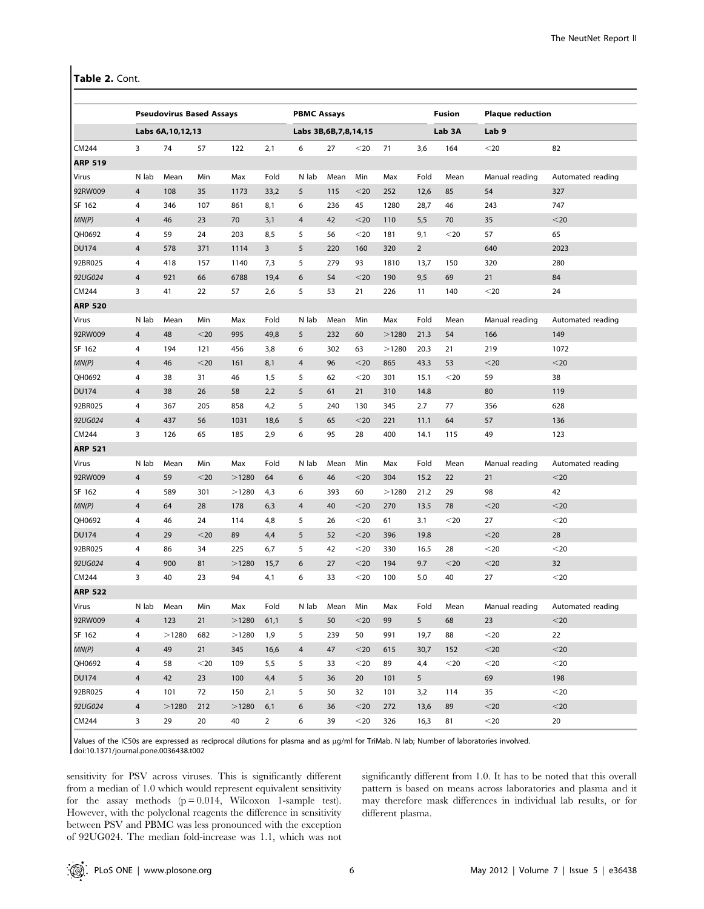Table 2. Cont.

|                |                | <b>Pseudovirus Based Assays</b> |        |       |                | <b>PBMC Assays</b>        |      |        |       |                | <b>Fusion</b> | <b>Plaque reduction</b> |                   |  |
|----------------|----------------|---------------------------------|--------|-------|----------------|---------------------------|------|--------|-------|----------------|---------------|-------------------------|-------------------|--|
|                |                | Labs 6A, 10, 12, 13             |        |       |                | Labs 3B, 6B, 7, 8, 14, 15 |      |        |       |                | Lab 3A        | Lab 9                   |                   |  |
| CM244          | 3              | 74                              | 57     | 122   | 2,1            | 6                         | 27   | $<$ 20 | 71    | 3,6            | 164           | $<$ 20                  | 82                |  |
| <b>ARP 519</b> |                |                                 |        |       |                |                           |      |        |       |                |               |                         |                   |  |
| Virus          | N lab          | Mean                            | Min    | Max   | Fold           | N lab                     | Mean | Min    | Max   | Fold           | Mean          | Manual reading          | Automated reading |  |
| 92RW009        | $\overline{4}$ | 108                             | 35     | 1173  | 33,2           | 5                         | 115  | $<$ 20 | 252   | 12,6           | 85            | 54                      | 327               |  |
| SF 162         | 4              | 346                             | 107    | 861   | 8,1            | 6                         | 236  | 45     | 1280  | 28,7           | 46            | 243                     | 747               |  |
| MN(P)          | 4              | 46                              | 23     | 70    | 3,1            | $\overline{4}$            | 42   | $<$ 20 | 110   | 5,5            | 70            | 35                      | $<$ 20            |  |
| QH0692         | 4              | 59                              | 24     | 203   | 8,5            | 5                         | 56   | $20$   | 181   | 9,1            | $<$ 20        | 57                      | 65                |  |
| <b>DU174</b>   | 4              | 578                             | 371    | 1114  | $\mathbf{3}$   | 5                         | 220  | 160    | 320   | $\overline{2}$ |               | 640                     | 2023              |  |
| 92BR025        | 4              | 418                             | 157    | 1140  | 7,3            | 5                         | 279  | 93     | 1810  | 13,7           | 150           | 320                     | 280               |  |
| 92UG024        | 4              | 921                             | 66     | 6788  | 19,4           | 6                         | 54   | $<$ 20 | 190   | 9,5            | 69            | 21                      | 84                |  |
| CM244          | 3              | 41                              | 22     | 57    | 2,6            | 5                         | 53   | 21     | 226   | 11             | 140           | $<$ 20                  | 24                |  |
| <b>ARP 520</b> |                |                                 |        |       |                |                           |      |        |       |                |               |                         |                   |  |
| Virus          | N lab          | Mean                            | Min    | Max   | Fold           | N lab                     | Mean | Min    | Max   | Fold           | Mean          | Manual reading          | Automated reading |  |
| 92RW009        | 4              | 48                              | $<$ 20 | 995   | 49,8           | 5                         | 232  | 60     | >1280 | 21.3           | 54            | 166                     | 149               |  |
| SF 162         | 4              | 194                             | 121    | 456   | 3,8            | 6                         | 302  | 63     | >1280 | 20.3           | 21            | 219                     | 1072              |  |
| MN(P)          | 4              | 46                              | $<$ 20 | 161   | 8,1            | $\overline{4}$            | 96   | $<$ 20 | 865   | 43.3           | 53            | $20$                    | $<$ 20            |  |
| QH0692         | 4              | 38                              | 31     | 46    | 1,5            | 5                         | 62   | $20$   | 301   | 15.1           | $<$ 20        | 59                      | 38                |  |
| <b>DU174</b>   | 4              | 38                              | 26     | 58    | 2,2            | 5                         | 61   | 21     | 310   | 14.8           |               | 80                      | 119               |  |
| 92BR025        | 4              | 367                             | 205    | 858   | 4,2            | 5                         | 240  | 130    | 345   | 2.7            | 77            | 356                     | 628               |  |
| 92UG024        | 4              | 437                             | 56     | 1031  | 18,6           | 5                         | 65   | $<$ 20 | 221   | 11.1           | 64            | 57                      | 136               |  |
| CM244          | 3              | 126                             | 65     | 185   | 2,9            | 6                         | 95   | 28     | 400   | 14.1           | 115           | 49                      | 123               |  |
| <b>ARP 521</b> |                |                                 |        |       |                |                           |      |        |       |                |               |                         |                   |  |
| Virus          | N lab          | Mean                            | Min    | Max   | Fold           | N lab                     | Mean | Min    | Max   | Fold           | Mean          | Manual reading          | Automated reading |  |
| 92RW009        | $\overline{4}$ | 59                              | $<$ 20 | >1280 | 64             | 6                         | 46   | $<$ 20 | 304   | 15.2           | 22            | 21                      | $<$ 20            |  |
| SF 162         | 4              | 589                             | 301    | >1280 | 4,3            | 6                         | 393  | 60     | >1280 | 21.2           | 29            | 98                      | 42                |  |
| MN(P)          | 4              | 64                              | 28     | 178   | 6,3            | $\overline{4}$            | 40   | $<$ 20 | 270   | 13.5           | 78            | $<$ 20                  | $<$ 20            |  |
| QH0692         | 4              | 46                              | 24     | 114   | 4,8            | 5                         | 26   | $20$   | 61    | 3.1            | $<$ 20        | 27                      | $<$ 20            |  |
| <b>DU174</b>   | 4              | 29                              | $<$ 20 | 89    | 4,4            | 5                         | 52   | $<$ 20 | 396   | 19.8           |               | $<$ 20                  | 28                |  |
| 92BR025        | 4              | 86                              | 34     | 225   | 6,7            | 5                         | 42   | $20$   | 330   | 16.5           | 28            | $20$                    | $<$ 20            |  |
| 92UG024        | 4              | 900                             | 81     | >1280 | 15,7           | 6                         | 27   | $<$ 20 | 194   | 9.7            | $<$ 20        | $<$ 20                  | 32                |  |
| CM244          | 3              | 40                              | 23     | 94    | 4,1            | 6                         | 33   | $<$ 20 | 100   | 5.0            | 40            | 27                      | $<$ 20            |  |
| <b>ARP 522</b> |                |                                 |        |       |                |                           |      |        |       |                |               |                         |                   |  |
| Virus          | N lab          | Mean                            | Min    | Max   | Fold           | N lab                     | Mean | Min    | Max   | Fold           | Mean          | Manual reading          | Automated reading |  |
| 92RW009        | 4              | 123                             | 21     | >1280 | 61,1           | 5                         | 50   | $<$ 20 | 99    | 5              | 68            | 23                      | $<$ 20            |  |
| SF 162         | 4              | >1280                           | 682    | >1280 | 1,9            | 5                         | 239  | 50     | 991   | 19,7           | 88            | $<$ 20                  | 22                |  |
| MN(P)          | $\overline{4}$ | 49                              | 21     | 345   | 16,6           | 4                         | 47   | $<$ 20 | 615   | 30,7           | 152           | $<$ 20                  | $<$ 20            |  |
| QH0692         | 4              | 58                              | $<$ 20 | 109   | 5,5            | 5                         | 33   | $20$   | 89    | 4,4            | $20$          | $<$ 20                  | $<$ 20            |  |
| <b>DU174</b>   | 4              | 42                              | 23     | 100   | 4,4            | 5                         | 36   | 20     | 101   | 5              |               | 69                      | 198               |  |
| 92BR025        | 4              | 101                             | 72     | 150   | 2,1            | 5                         | 50   | 32     | 101   | 3,2            | 114           | 35                      | $<$ 20            |  |
| 92UG024        | 4              | >1280                           | 212    | >1280 | 6,1            | 6                         | 36   | $<$ 20 | 272   | 13,6           | 89            | $<$ 20                  | $<$ 20            |  |
| CM244          | 3              | 29                              | 20     | 40    | $\overline{2}$ | 6                         | 39   | $<$ 20 | 326   | 16,3           | 81            | $<$ 20                  | 20                |  |

Values of the IC50s are expressed as reciprocal dilutions for plasma and as µg/ml for TriMab. N lab; Number of laboratories involved. doi:10.1371/journal.pone.0036438.t002

sensitivity for PSV across viruses. This is significantly different from a median of 1.0 which would represent equivalent sensitivity for the assay methods  $(p=0.014, Wilcoxon$  1-sample test). However, with the polyclonal reagents the difference in sensitivity between PSV and PBMC was less pronounced with the exception of 92UG024. The median fold-increase was 1.1, which was not significantly different from 1.0. It has to be noted that this overall pattern is based on means across laboratories and plasma and it may therefore mask differences in individual lab results, or for different plasma.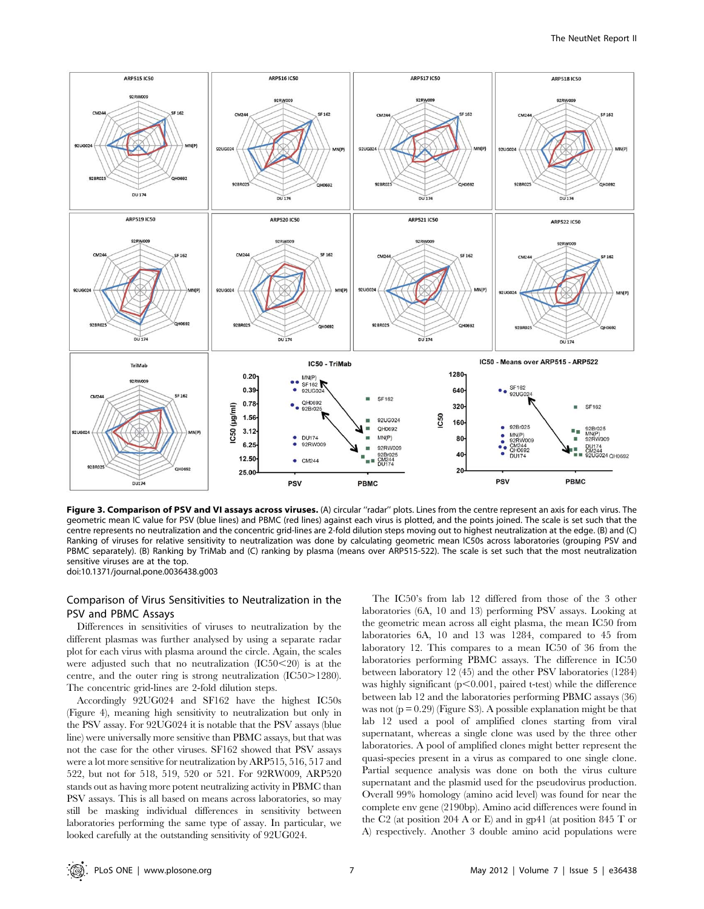

Figure 3. Comparison of PSV and VI assays across viruses. (A) circular "radar" plots. Lines from the centre represent an axis for each virus. The geometric mean IC value for PSV (blue lines) and PBMC (red lines) against each virus is plotted, and the points joined. The scale is set such that the centre represents no neutralization and the concentric grid-lines are 2-fold dilution steps moving out to highest neutralization at the edge. (B) and (C) Ranking of viruses for relative sensitivity to neutralization was done by calculating geometric mean IC50s across laboratories (grouping PSV and PBMC separately). (B) Ranking by TriMab and (C) ranking by plasma (means over ARP515-522). The scale is set such that the most neutralization sensitive viruses are at the top. doi:10.1371/journal.pone.0036438.g003

# Comparison of Virus Sensitivities to Neutralization in the PSV and PBMC Assays

Differences in sensitivities of viruses to neutralization by the different plasmas was further analysed by using a separate radar plot for each virus with plasma around the circle. Again, the scales were adjusted such that no neutralization  $(IC50<20)$  is at the centre, and the outer ring is strong neutralization  $(IC50>1280)$ . The concentric grid-lines are 2-fold dilution steps.

Accordingly 92UG024 and SF162 have the highest IC50s (Figure 4), meaning high sensitivity to neutralization but only in the PSV assay. For 92UG024 it is notable that the PSV assays (blue line) were universally more sensitive than PBMC assays, but that was not the case for the other viruses. SF162 showed that PSV assays were a lot more sensitive for neutralization by ARP515, 516, 517 and 522, but not for 518, 519, 520 or 521. For 92RW009, ARP520 stands out as having more potent neutralizing activity in PBMC than PSV assays. This is all based on means across laboratories, so may still be masking individual differences in sensitivity between laboratories performing the same type of assay. In particular, we looked carefully at the outstanding sensitivity of 92UG024.

The IC50's from lab 12 differed from those of the 3 other laboratories (6A, 10 and 13) performing PSV assays. Looking at the geometric mean across all eight plasma, the mean IC50 from laboratories 6A, 10 and 13 was 1284, compared to 45 from laboratory 12. This compares to a mean IC50 of 36 from the laboratories performing PBMC assays. The difference in IC50 between laboratory 12 (45) and the other PSV laboratories (1284) was highly significant  $(p<0.001$ , paired t-test) while the difference between lab 12 and the laboratories performing PBMC assays (36) was not  $(p = 0.29)$  (Figure S3). A possible explanation might be that lab 12 used a pool of amplified clones starting from viral supernatant, whereas a single clone was used by the three other laboratories. A pool of amplified clones might better represent the quasi-species present in a virus as compared to one single clone. Partial sequence analysis was done on both the virus culture supernatant and the plasmid used for the pseudovirus production. Overall 99% homology (amino acid level) was found for near the complete env gene (2190bp). Amino acid differences were found in the C2 (at position 204 A or E) and in gp41 (at position 845 T or A) respectively. Another 3 double amino acid populations were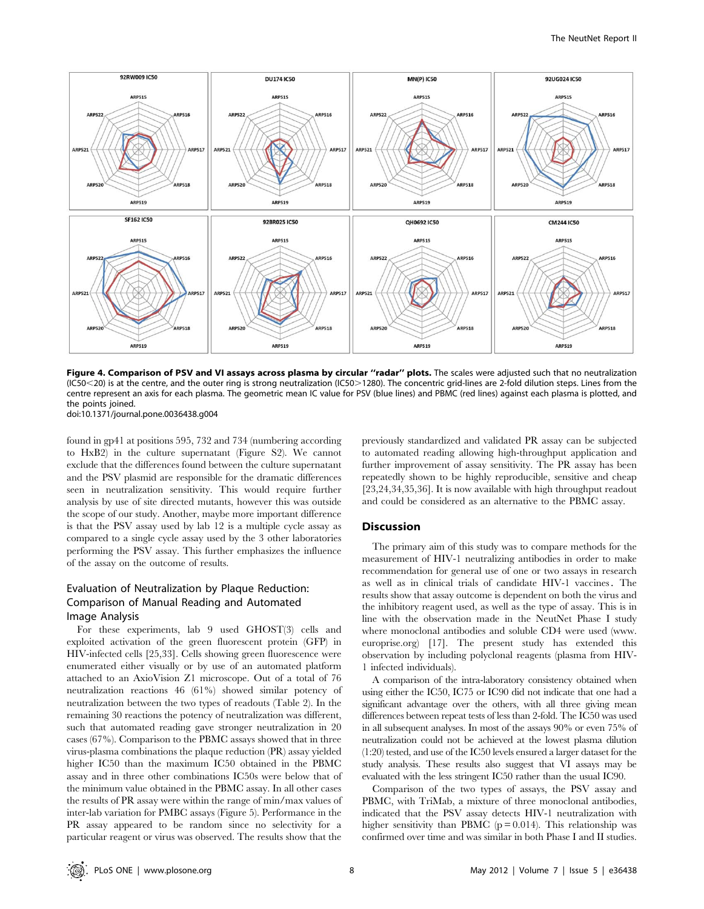

Figure 4. Comparison of PSV and VI assays across plasma by circular "radar" plots. The scales were adjusted such that no neutralization (IC50<20) is at the centre, and the outer ring is strong neutralization (IC50>1280). The concentric grid-lines are 2-fold dilution steps. Lines from the centre represent an axis for each plasma. The geometric mean IC value for PSV (blue lines) and PBMC (red lines) against each plasma is plotted, and the points joined.

doi:10.1371/journal.pone.0036438.g004

found in gp41 at positions 595, 732 and 734 (numbering according to HxB2) in the culture supernatant (Figure S2). We cannot exclude that the differences found between the culture supernatant and the PSV plasmid are responsible for the dramatic differences seen in neutralization sensitivity. This would require further analysis by use of site directed mutants, however this was outside the scope of our study. Another, maybe more important difference is that the PSV assay used by lab 12 is a multiple cycle assay as compared to a single cycle assay used by the 3 other laboratories performing the PSV assay. This further emphasizes the influence of the assay on the outcome of results.

# Evaluation of Neutralization by Plaque Reduction: Comparison of Manual Reading and Automated Image Analysis

For these experiments, lab 9 used GHOST(3) cells and exploited activation of the green fluorescent protein (GFP) in HIV-infected cells [25,33]. Cells showing green fluorescence were enumerated either visually or by use of an automated platform attached to an AxioVision Z1 microscope. Out of a total of 76 neutralization reactions 46 (61%) showed similar potency of neutralization between the two types of readouts (Table 2). In the remaining 30 reactions the potency of neutralization was different, such that automated reading gave stronger neutralization in 20 cases (67%). Comparison to the PBMC assays showed that in three virus-plasma combinations the plaque reduction (PR) assay yielded higher IC50 than the maximum IC50 obtained in the PBMC assay and in three other combinations IC50s were below that of the minimum value obtained in the PBMC assay. In all other cases the results of PR assay were within the range of min/max values of inter-lab variation for PMBC assays (Figure 5). Performance in the PR assay appeared to be random since no selectivity for a particular reagent or virus was observed. The results show that the

previously standardized and validated PR assay can be subjected to automated reading allowing high-throughput application and further improvement of assay sensitivity. The PR assay has been repeatedly shown to be highly reproducible, sensitive and cheap [23,24,34,35,36]. It is now available with high throughput readout and could be considered as an alternative to the PBMC assay.

# Discussion

The primary aim of this study was to compare methods for the measurement of HIV-1 neutralizing antibodies in order to make recommendation for general use of one or two assays in research as well as in clinical trials of candidate HIV-1 vaccines. The results show that assay outcome is dependent on both the virus and the inhibitory reagent used, as well as the type of assay. This is in line with the observation made in the NeutNet Phase I study where monoclonal antibodies and soluble CD4 were used (www. europrise.org) [17]. The present study has extended this observation by including polyclonal reagents (plasma from HIV-1 infected individuals).

A comparison of the intra-laboratory consistency obtained when using either the IC50, IC75 or IC90 did not indicate that one had a significant advantage over the others, with all three giving mean differences between repeat tests of less than 2-fold. The IC50 was used in all subsequent analyses. In most of the assays 90% or even 75% of neutralization could not be achieved at the lowest plasma dilution (1:20) tested, and use of the IC50 levels ensured a larger dataset for the study analysis. These results also suggest that VI assays may be evaluated with the less stringent IC50 rather than the usual IC90.

Comparison of the two types of assays, the PSV assay and PBMC, with TriMab, a mixture of three monoclonal antibodies, indicated that the PSV assay detects HIV-1 neutralization with higher sensitivity than PBMC ( $p = 0.014$ ). This relationship was confirmed over time and was similar in both Phase I and II studies.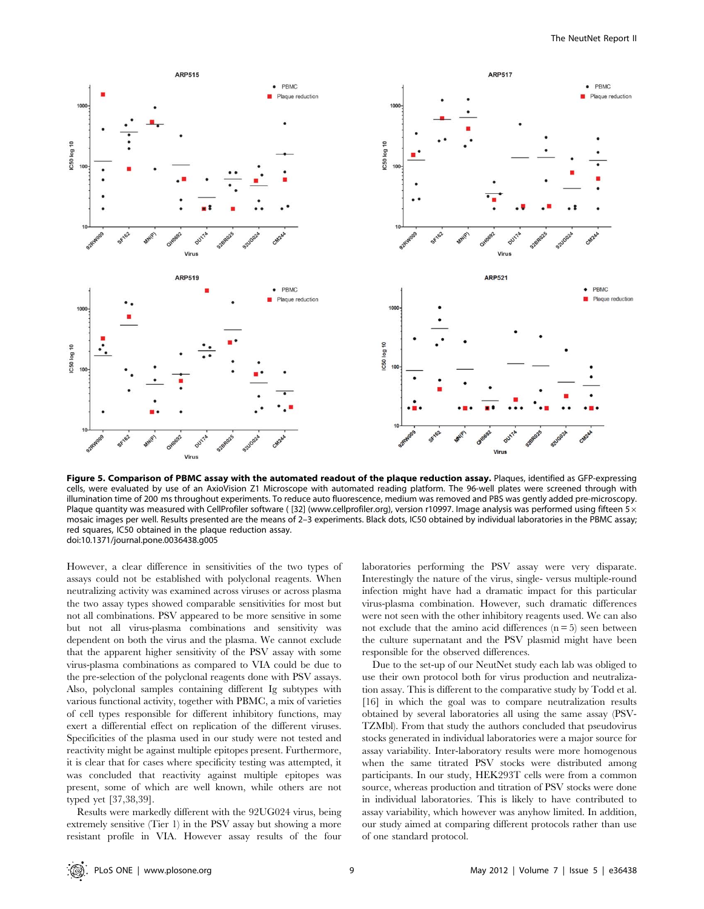

Figure 5. Comparison of PBMC assay with the automated readout of the plaque reduction assay. Plaques, identified as GFP-expressing cells, were evaluated by use of an AxioVision Z1 Microscope with automated reading platform. The 96-well plates were screened through with illumination time of 200 ms throughout experiments. To reduce auto fluorescence, medium was removed and PBS was gently added pre-microscopy. Plaque quantity was measured with CellProfiler software ([32] (www.cellprofiler.org), version r10997. Image analysis was performed using fifteen  $5 \times$ mosaic images per well. Results presented are the means of 2–3 experiments. Black dots, IC50 obtained by individual laboratories in the PBMC assay; red squares, IC50 obtained in the plaque reduction assay. doi:10.1371/journal.pone.0036438.g005

However, a clear difference in sensitivities of the two types of assays could not be established with polyclonal reagents. When neutralizing activity was examined across viruses or across plasma the two assay types showed comparable sensitivities for most but not all combinations. PSV appeared to be more sensitive in some but not all virus-plasma combinations and sensitivity was dependent on both the virus and the plasma. We cannot exclude that the apparent higher sensitivity of the PSV assay with some virus-plasma combinations as compared to VIA could be due to the pre-selection of the polyclonal reagents done with PSV assays. Also, polyclonal samples containing different Ig subtypes with various functional activity, together with PBMC, a mix of varieties of cell types responsible for different inhibitory functions, may exert a differential effect on replication of the different viruses. Specificities of the plasma used in our study were not tested and reactivity might be against multiple epitopes present. Furthermore, it is clear that for cases where specificity testing was attempted, it was concluded that reactivity against multiple epitopes was present, some of which are well known, while others are not typed yet [37,38,39].

Results were markedly different with the 92UG024 virus, being extremely sensitive (Tier 1) in the PSV assay but showing a more resistant profile in VIA. However assay results of the four laboratories performing the PSV assay were very disparate. Interestingly the nature of the virus, single- versus multiple-round infection might have had a dramatic impact for this particular virus-plasma combination. However, such dramatic differences were not seen with the other inhibitory reagents used. We can also not exclude that the amino acid differences  $(n = 5)$  seen between the culture supernatant and the PSV plasmid might have been responsible for the observed differences.

Due to the set-up of our NeutNet study each lab was obliged to use their own protocol both for virus production and neutralization assay. This is different to the comparative study by Todd et al. [16] in which the goal was to compare neutralization results obtained by several laboratories all using the same assay (PSV-TZMbl). From that study the authors concluded that pseudovirus stocks generated in individual laboratories were a major source for assay variability. Inter-laboratory results were more homogenous when the same titrated PSV stocks were distributed among participants. In our study, HEK293T cells were from a common source, whereas production and titration of PSV stocks were done in individual laboratories. This is likely to have contributed to assay variability, which however was anyhow limited. In addition, our study aimed at comparing different protocols rather than use of one standard protocol.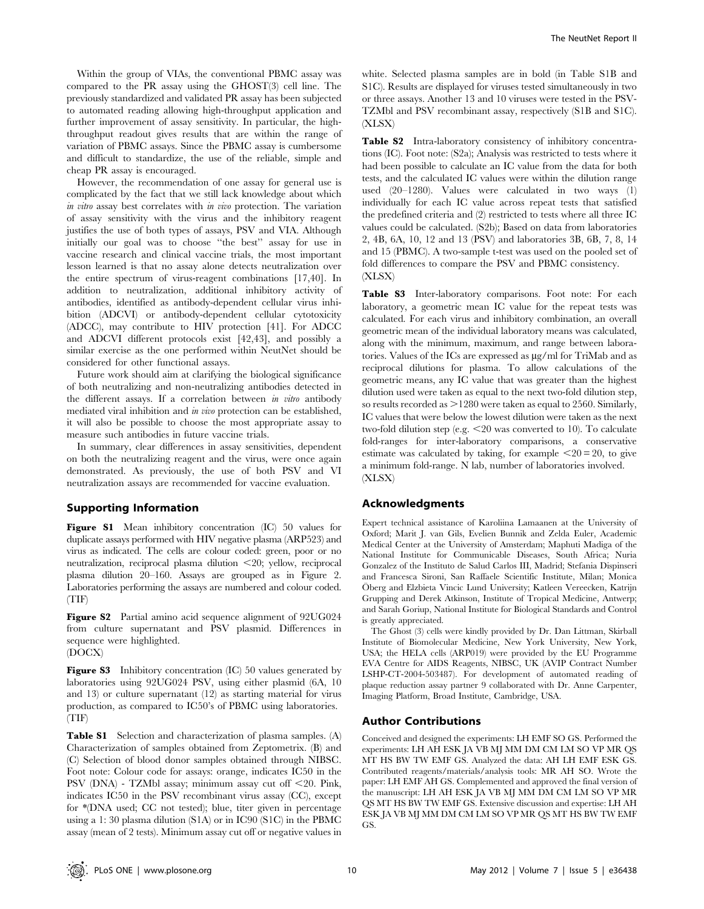Within the group of VIAs, the conventional PBMC assay was compared to the PR assay using the GHOST(3) cell line. The previously standardized and validated PR assay has been subjected to automated reading allowing high-throughput application and further improvement of assay sensitivity. In particular, the highthroughput readout gives results that are within the range of variation of PBMC assays. Since the PBMC assay is cumbersome and difficult to standardize, the use of the reliable, simple and cheap PR assay is encouraged.

However, the recommendation of one assay for general use is complicated by the fact that we still lack knowledge about which in vitro assay best correlates with in vivo protection. The variation of assay sensitivity with the virus and the inhibitory reagent justifies the use of both types of assays, PSV and VIA. Although initially our goal was to choose ''the best'' assay for use in vaccine research and clinical vaccine trials, the most important lesson learned is that no assay alone detects neutralization over the entire spectrum of virus-reagent combinations [17,40]. In addition to neutralization, additional inhibitory activity of antibodies, identified as antibody-dependent cellular virus inhibition (ADCVI) or antibody-dependent cellular cytotoxicity (ADCC), may contribute to HIV protection [41]. For ADCC and ADCVI different protocols exist [42,43], and possibly a similar exercise as the one performed within NeutNet should be considered for other functional assays.

Future work should aim at clarifying the biological significance of both neutralizing and non-neutralizing antibodies detected in the different assays. If a correlation between in vitro antibody mediated viral inhibition and in vivo protection can be established, it will also be possible to choose the most appropriate assay to measure such antibodies in future vaccine trials.

In summary, clear differences in assay sensitivities, dependent on both the neutralizing reagent and the virus, were once again demonstrated. As previously, the use of both PSV and VI neutralization assays are recommended for vaccine evaluation.

## Supporting Information

Figure S1 Mean inhibitory concentration (IC) 50 values for duplicate assays performed with HIV negative plasma (ARP523) and virus as indicated. The cells are colour coded: green, poor or no neutralization, reciprocal plasma dilution  $\leq$ 20; yellow, reciprocal plasma dilution 20–160. Assays are grouped as in Figure 2. Laboratories performing the assays are numbered and colour coded. (TIF)

**Figure S2** Partial amino acid sequence alignment of 92UG024 from culture supernatant and PSV plasmid. Differences in sequence were highlighted.

# (DOCX)

Figure S3 Inhibitory concentration (IC) 50 values generated by laboratories using 92UG024 PSV, using either plasmid (6A, 10 and 13) or culture supernatant (12) as starting material for virus production, as compared to IC50's of PBMC using laboratories. (TIF)

**Table S1** Selection and characterization of plasma samples. (A) Characterization of samples obtained from Zeptometrix. (B) and (C) Selection of blood donor samples obtained through NIBSC. Foot note: Colour code for assays: orange, indicates IC50 in the PSV (DNA) - TZMbl assay; minimum assay cut off <20. Pink, indicates IC50 in the PSV recombinant virus assay (CC), except for \*(DNA used; CC not tested); blue, titer given in percentage using a 1: 30 plasma dilution (S1A) or in IC90 (S1C) in the PBMC assay (mean of 2 tests). Minimum assay cut off or negative values in

white. Selected plasma samples are in bold (in Table S1B and S1C). Results are displayed for viruses tested simultaneously in two or three assays. Another 13 and 10 viruses were tested in the PSV-TZMbl and PSV recombinant assay, respectively (S1B and S1C). (XLSX)

Table S2 Intra-laboratory consistency of inhibitory concentrations (IC). Foot note: (S2a); Analysis was restricted to tests where it had been possible to calculate an IC value from the data for both tests, and the calculated IC values were within the dilution range used (20–1280). Values were calculated in two ways (1) individually for each IC value across repeat tests that satisfied the predefined criteria and (2) restricted to tests where all three IC values could be calculated. (S2b); Based on data from laboratories 2, 4B, 6A, 10, 12 and 13 (PSV) and laboratories 3B, 6B, 7, 8, 14 and 15 (PBMC). A two-sample t-test was used on the pooled set of fold differences to compare the PSV and PBMC consistency. (XLSX)

Table S3 Inter-laboratory comparisons. Foot note: For each laboratory, a geometric mean IC value for the repeat tests was calculated. For each virus and inhibitory combination, an overall geometric mean of the individual laboratory means was calculated, along with the minimum, maximum, and range between laboratories. Values of the ICs are expressed as µg/ml for TriMab and as reciprocal dilutions for plasma. To allow calculations of the geometric means, any IC value that was greater than the highest dilution used were taken as equal to the next two-fold dilution step, so results recorded as  $>1280$  were taken as equal to 2560. Similarly, IC values that were below the lowest dilution were taken as the next two-fold dilution step (e.g.  $\leq$  20 was converted to 10). To calculate fold-ranges for inter-laboratory comparisons, a conservative estimate was calculated by taking, for example  $\leq 20 = 20$ , to give a minimum fold-range. N lab, number of laboratories involved. (XLSX)

# Acknowledgments

Expert technical assistance of Karoliina Lamaanen at the University of Oxford; Marit J. van Gils, Evelien Bunnik and Zelda Euler, Academic Medical Center at the University of Amsterdam; Maphuti Madiga of the National Institute for Communicable Diseases, South Africa; Nuria Gonzalez of the Instituto de Salud Carlos III, Madrid; Stefania Dispinseri and Francesca Sironi, San Raffaele Scientific Institute, Milan; Monica Öberg and Elzbieta Vincic Lund University; Katleen Vereecken, Katrijn Grupping and Derek Atkinson, Institute of Tropical Medicine, Antwerp; and Sarah Goriup, National Institute for Biological Standards and Control is greatly appreciated.

The Ghost (3) cells were kindly provided by Dr. Dan Littman, Skirball Institute of Biomolecular Medicine, New York University, New York, USA; the HELA cells (ARP019) were provided by the EU Programme EVA Centre for AIDS Reagents, NIBSC, UK (AVIP Contract Number LSHP-CT-2004-503487). For development of automated reading of plaque reduction assay partner 9 collaborated with Dr. Anne Carpenter, Imaging Platform, Broad Institute, Cambridge, USA.

## Author Contributions

Conceived and designed the experiments: LH EMF SO GS. Performed the experiments: LH AH ESK JA VB MJ MM DM CM LM SO VP MR QS MT HS BW TW EMF GS. Analyzed the data: AH LH EMF ESK GS. Contributed reagents/materials/analysis tools: MR AH SO. Wrote the paper: LH EMF AH GS. Complemented and approved the final version of the manuscript: LH AH ESK JA VB MJ MM DM CM LM SO VP MR QS MT HS BW TW EMF GS. Extensive discussion and expertise: LH AH ESK JA VB MJ MM DM CM LM SO VP MR QS MT HS BW TW EMF GS.